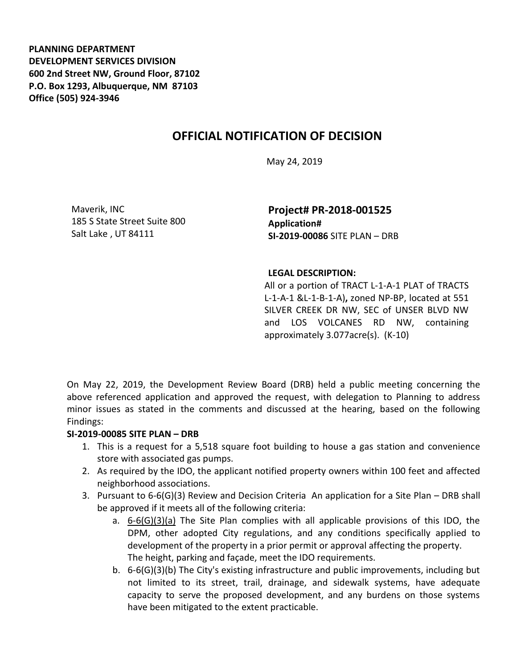**PLANNING DEPARTMENT DEVELOPMENT SERVICES DIVISION 600 2nd Street NW, Ground Floor, 87102 P.O. Box 1293, Albuquerque, NM 87103 Office (505) 924-3946** 

## **OFFICIAL NOTIFICATION OF DECISION**

May 24, 2019

Maverik, INC 185 S State Street Suite 800 Salt Lake , UT 84111

**Project# PR-2018-001525 Application# SI-2019-00086** SITE PLAN – DRB

## **LEGAL DESCRIPTION:**

All or a portion of TRACT L-1-A-1 PLAT of TRACTS L-1-A-1 &L-1-B-1-A)**,** zoned NP-BP, located at 551 SILVER CREEK DR NW, SEC of UNSER BLVD NW and LOS VOLCANES RD NW, containing approximately 3.077acre(s). (K-10)

On May 22, 2019, the Development Review Board (DRB) held a public meeting concerning the above referenced application and approved the request, with delegation to Planning to address minor issues as stated in the comments and discussed at the hearing, based on the following Findings:

## **SI-2019-00085 SITE PLAN – DRB**

- 1. This is a request for a 5,518 square foot building to house a gas station and convenience store with associated gas pumps.
- 2. As required by the IDO, the applicant notified property owners within 100 feet and affected neighborhood associations.
- 3. Pursuant to 6-6(G)(3) Review and Decision Criteria An application for a Site Plan DRB shall be approved if it meets all of the following criteria:
	- a. 6-6(G)(3)(a) The Site Plan complies with all applicable provisions of this IDO, the DPM, other adopted City regulations, and any conditions specifically applied to development of the property in a prior permit or approval affecting the property. The height, parking and façade, meet the IDO requirements.
	- b. 6-6(G)(3)(b) The City's existing infrastructure and public improvements, including but not limited to its street, trail, drainage, and sidewalk systems, have adequate capacity to serve the proposed development, and any burdens on those systems have been mitigated to the extent practicable.